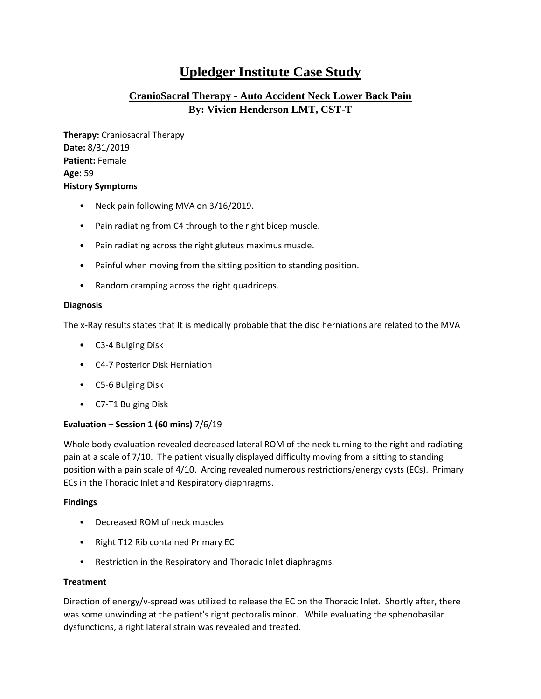# **Upledger Institute Case Study**

## **CranioSacral Therapy - Auto Accident Neck Lower Back Pain By: Vivien Henderson LMT, CST-T**

**Therapy:** Craniosacral Therapy **Date:** 8/31/2019 **Patient:** Female **Age:** 59 **History Symptoms** 

- Neck pain following MVA on 3/16/2019.
- Pain radiating from C4 through to the right bicep muscle.
- Pain radiating across the right gluteus maximus muscle.
- Painful when moving from the sitting position to standing position.
- Random cramping across the right quadriceps.

## **Diagnosis**

The x-Ray results states that It is medically probable that the disc herniations are related to the MVA

- C3-4 Bulging Disk
- C4-7 Posterior Disk Herniation
- C5-6 Bulging Disk
- C7-T1 Bulging Disk

## **Evaluation – Session 1 (60 mins)** 7/6/19

Whole body evaluation revealed decreased lateral ROM of the neck turning to the right and radiating pain at a scale of 7/10. The patient visually displayed difficulty moving from a sitting to standing position with a pain scale of 4/10. Arcing revealed numerous restrictions/energy cysts (ECs). Primary ECs in the Thoracic Inlet and Respiratory diaphragms.

## **Findings**

- Decreased ROM of neck muscles
- Right T12 Rib contained Primary EC
- Restriction in the Respiratory and Thoracic Inlet diaphragms.

## **Treatment**

Direction of energy/v-spread was utilized to release the EC on the Thoracic Inlet. Shortly after, there was some unwinding at the patient's right pectoralis minor. While evaluating the sphenobasilar dysfunctions, a right lateral strain was revealed and treated.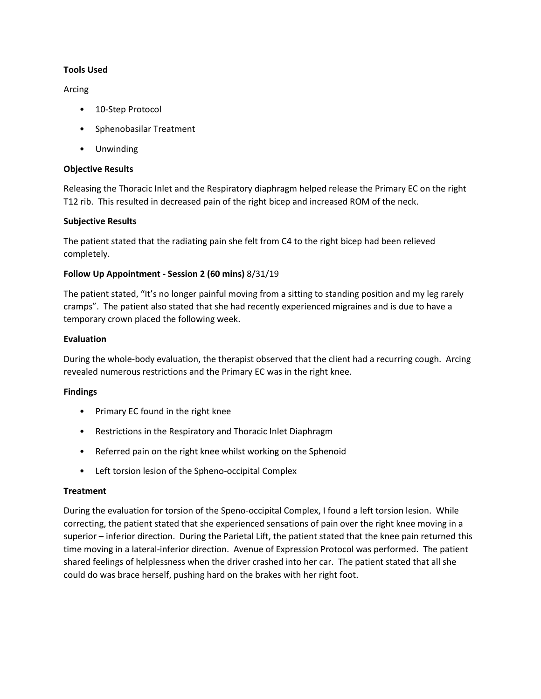## **Tools Used**

## Arcing

- 10-Step Protocol
- Sphenobasilar Treatment
- Unwinding

## **Objective Results**

Releasing the Thoracic Inlet and the Respiratory diaphragm helped release the Primary EC on the right T12 rib. This resulted in decreased pain of the right bicep and increased ROM of the neck.

## **Subjective Results**

The patient stated that the radiating pain she felt from C4 to the right bicep had been relieved completely.

## **Follow Up Appointment - Session 2 (60 mins)** 8/31/19

The patient stated, "It's no longer painful moving from a sitting to standing position and my leg rarely cramps". The patient also stated that she had recently experienced migraines and is due to have a temporary crown placed the following week.

## **Evaluation**

During the whole-body evaluation, the therapist observed that the client had a recurring cough. Arcing revealed numerous restrictions and the Primary EC was in the right knee.

## **Findings**

- Primary EC found in the right knee
- Restrictions in the Respiratory and Thoracic Inlet Diaphragm
- Referred pain on the right knee whilst working on the Sphenoid
- Left torsion lesion of the Spheno-occipital Complex

## **Treatment**

During the evaluation for torsion of the Speno-occipital Complex, I found a left torsion lesion. While correcting, the patient stated that she experienced sensations of pain over the right knee moving in a superior – inferior direction. During the Parietal Lift, the patient stated that the knee pain returned this time moving in a lateral-inferior direction. Avenue of Expression Protocol was performed. The patient shared feelings of helplessness when the driver crashed into her car. The patient stated that all she could do was brace herself, pushing hard on the brakes with her right foot.